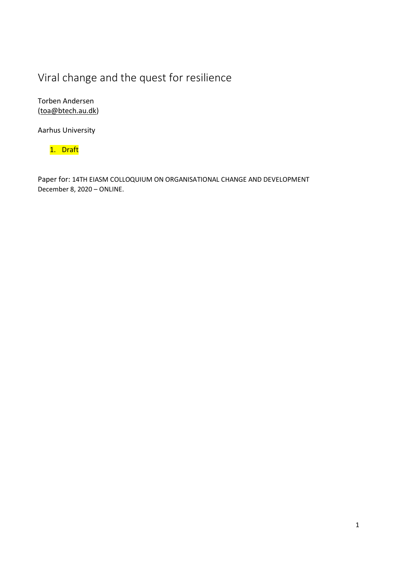# Viral change and the quest for resilience

Torben Andersen [\(toa@btech.au.dk\)](mailto:toa@btech.au.dk)

Aarhus University

1. Draft

Paper for: 14TH EIASM COLLOQUIUM ON ORGANISATIONAL CHANGE AND DEVELOPMENT December 8, 2020 – ONLINE.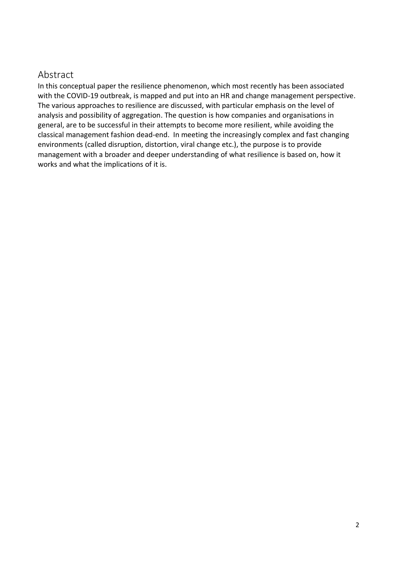## Abstract

In this conceptual paper the resilience phenomenon, which most recently has been associated with the COVID-19 outbreak, is mapped and put into an HR and change management perspective. The various approaches to resilience are discussed, with particular emphasis on the level of analysis and possibility of aggregation. The question is how companies and organisations in general, are to be successful in their attempts to become more resilient, while avoiding the classical management fashion dead-end. In meeting the increasingly complex and fast changing environments (called disruption, distortion, viral change etc.), the purpose is to provide management with a broader and deeper understanding of what resilience is based on, how it works and what the implications of it is.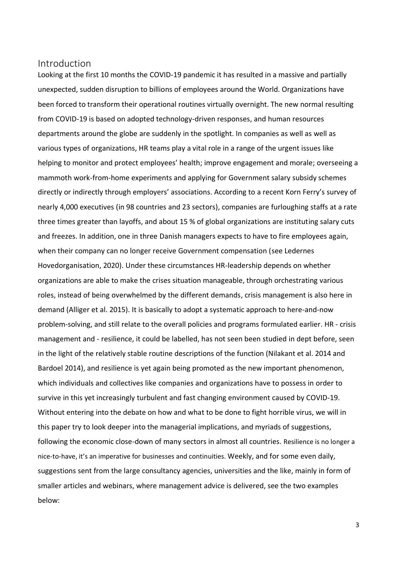## Introduction

Looking at the first 10 months the COVID-19 pandemic it has resulted in a massive and partially unexpected, sudden disruption to billions of employees around the World. Organizations have been forced to transform their operational routines virtually overnight. The new normal resulting from COVID-19 is based on adopted technology-driven responses, and human resources departments around the globe are suddenly in the spotlight. In companies as well as well as various types of organizations, HR teams play a vital role in a range of the urgent issues like helping to monitor and protect employees' health; improve engagement and morale; overseeing a mammoth work-from-home experiments and applying for Government salary subsidy schemes directly or indirectly through employers' associations. According to a recent Korn Ferry's survey of nearly 4,000 executives (in 98 countries and 23 sectors), companies are furloughing staffs at a rate three times greater than layoffs, and about 15 % of global organizations are instituting salary cuts and freezes. In addition, one in three Danish managers expects to have to fire employees again, when their company can no longer receive Government compensation (see Ledernes Hovedorganisation, 2020). Under these circumstances HR-leadership depends on whether organizations are able to make the crises situation manageable, through orchestrating various roles, instead of being overwhelmed by the different demands, crisis management is also here in demand (Alliger et al. 2015). It is basically to adopt a systematic approach to here-and-now problem-solving, and still relate to the overall policies and programs formulated earlier. HR - crisis management and - resilience, it could be labelled, has not seen been studied in dept before, seen in the light of the relatively stable routine descriptions of the function (Nilakant et al. 2014 and Bardoel 2014), and resilience is yet again being promoted as the new important phenomenon, which individuals and collectives like companies and organizations have to possess in order to survive in this yet increasingly turbulent and fast changing environment caused by COVID-19. Without entering into the debate on how and what to be done to fight horrible virus, we will in this paper try to look deeper into the managerial implications, and myriads of suggestions, following the economic close-down of many sectors in almost all countries. Resilience is no longer a nice-to-have, it's an imperative for businesses and continuities. Weekly, and for some even daily, suggestions sent from the large consultancy agencies, universities and the like, mainly in form of smaller articles and webinars, where management advice is delivered, see the two examples below: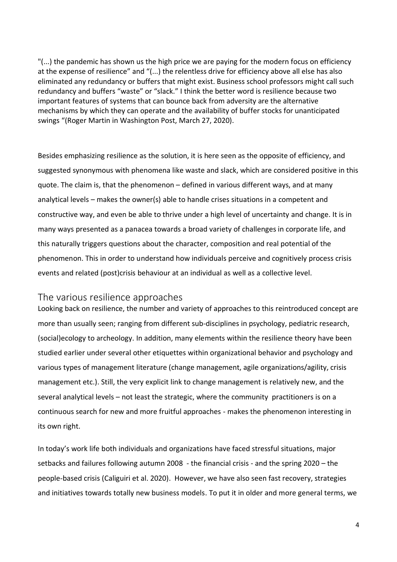"(...) the pandemic has shown us the high price we are paying for the modern focus on efficiency at the expense of resilience" and "(...) the relentless drive for efficiency above all else has also eliminated any redundancy or buffers that might exist. Business school professors might call such redundancy and buffers "waste" or "slack." I think the better word is resilience because two important features of systems that can bounce back from adversity are the alternative mechanisms by which they can operate and the availability of buffer stocks for unanticipated swings "(Roger Martin in Washington Post, March 27, 2020).

Besides emphasizing resilience as the solution, it is here seen as the opposite of efficiency, and suggested synonymous with phenomena like waste and slack, which are considered positive in this quote. The claim is, that the phenomenon – defined in various different ways, and at many analytical levels – makes the owner(s) able to handle crises situations in a competent and constructive way, and even be able to thrive under a high level of uncertainty and change. It is in many ways presented as a panacea towards a broad variety of challenges in corporate life, and this naturally triggers questions about the character, composition and real potential of the phenomenon. This in order to understand how individuals perceive and cognitively process crisis events and related (post)crisis behaviour at an individual as well as a collective level.

## The various resilience approaches

Looking back on resilience, the number and variety of approaches to this reintroduced concept are more than usually seen; ranging from different sub-disciplines in psychology, pediatric research, (social)ecology to archeology. In addition, many elements within the resilience theory have been studied earlier under several other etiquettes within organizational behavior and psychology and various types of management literature (change management, agile organizations/agility, crisis management etc.). Still, the very explicit link to change management is relatively new, and the several analytical levels – not least the strategic, where the community practitioners is on a continuous search for new and more fruitful approaches - makes the phenomenon interesting in its own right.

In today's work life both individuals and organizations have faced stressful situations, major setbacks and failures following autumn 2008 - the financial crisis - and the spring 2020 – the people-based crisis (Caliguiri et al. 2020). However, we have also seen fast recovery, strategies and initiatives towards totally new business models. To put it in older and more general terms, we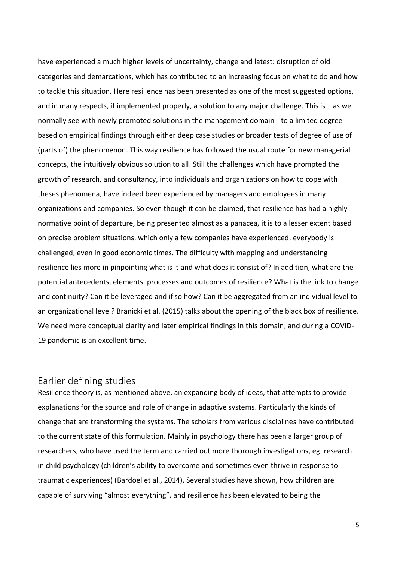have experienced a much higher levels of uncertainty, change and latest: disruption of old categories and demarcations, which has contributed to an increasing focus on what to do and how to tackle this situation. Here resilience has been presented as one of the most suggested options, and in many respects, if implemented properly, a solution to any major challenge. This is – as we normally see with newly promoted solutions in the management domain - to a limited degree based on empirical findings through either deep case studies or broader tests of degree of use of (parts of) the phenomenon. This way resilience has followed the usual route for new managerial concepts, the intuitively obvious solution to all. Still the challenges which have prompted the growth of research, and consultancy, into individuals and organizations on how to cope with theses phenomena, have indeed been experienced by managers and employees in many organizations and companies. So even though it can be claimed, that resilience has had a highly normative point of departure, being presented almost as a panacea, it is to a lesser extent based on precise problem situations, which only a few companies have experienced, everybody is challenged, even in good economic times. The difficulty with mapping and understanding resilience lies more in pinpointing what is it and what does it consist of? In addition, what are the potential antecedents, elements, processes and outcomes of resilience? What is the link to change and continuity? Can it be leveraged and if so how? Can it be aggregated from an individual level to an organizational level? Branicki et al. (2015) talks about the opening of the black box of resilience. We need more conceptual clarity and later empirical findings in this domain, and during a COVID-19 pandemic is an excellent time.

## Earlier defining studies

Resilience theory is, as mentioned above, an expanding body of ideas, that attempts to provide explanations for the source and role of change in adaptive systems. Particularly the kinds of change that are transforming the systems. The scholars from various disciplines have contributed to the current state of this formulation. Mainly in psychology there has been a larger group of researchers, who have used the term and carried out more thorough investigations, eg. research in child psychology (children's ability to overcome and sometimes even thrive in response to traumatic experiences) (Bardoel et al., 2014). Several studies have shown, how children are capable of surviving "almost everything", and resilience has been elevated to being the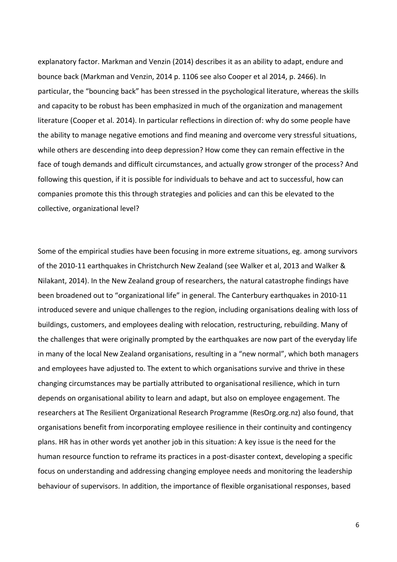explanatory factor. Markman and Venzin (2014) describes it as an ability to adapt, endure and bounce back (Markman and Venzin, 2014 p. 1106 see also Cooper et al 2014, p. 2466). In particular, the "bouncing back" has been stressed in the psychological literature, whereas the skills and capacity to be robust has been emphasized in much of the organization and management literature (Cooper et al. 2014). In particular reflections in direction of: why do some people have the ability to manage negative emotions and find meaning and overcome very stressful situations, while others are descending into deep depression? How come they can remain effective in the face of tough demands and difficult circumstances, and actually grow stronger of the process? And following this question, if it is possible for individuals to behave and act to successful, how can companies promote this this through strategies and policies and can this be elevated to the collective, organizational level?

Some of the empirical studies have been focusing in more extreme situations, eg. among survivors of the 2010-11 earthquakes in Christchurch New Zealand (see Walker et al, 2013 and Walker & Nilakant, 2014). In the New Zealand group of researchers, the natural catastrophe findings have been broadened out to "organizational life" in general. The Canterbury earthquakes in 2010-11 introduced severe and unique challenges to the region, including organisations dealing with loss of buildings, customers, and employees dealing with relocation, restructuring, rebuilding. Many of the challenges that were originally prompted by the earthquakes are now part of the everyday life in many of the local New Zealand organisations, resulting in a "new normal", which both managers and employees have adjusted to. The extent to which organisations survive and thrive in these changing circumstances may be partially attributed to organisational resilience, which in turn depends on organisational ability to learn and adapt, but also on employee engagement. The researchers at The Resilient Organizational Research Programme (ResOrg.org.nz) also found, that organisations benefit from incorporating employee resilience in their continuity and contingency plans. HR has in other words yet another job in this situation: A key issue is the need for the human resource function to reframe its practices in a post-disaster context, developing a specific focus on understanding and addressing changing employee needs and monitoring the leadership behaviour of supervisors. In addition, the importance of flexible organisational responses, based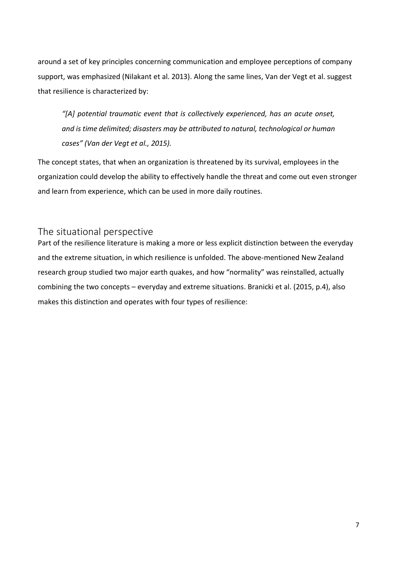around a set of key principles concerning communication and employee perceptions of company support, was emphasized (Nilakant et al. 2013). Along the same lines, Van der Vegt et al. suggest that resilience is characterized by:

*"[A] potential traumatic event that is collectively experienced, has an acute onset, and is time delimited; disasters may be attributed to natural, technological or human cases" (Van der Vegt et al., 2015).* 

The concept states, that when an organization is threatened by its survival, employees in the organization could develop the ability to effectively handle the threat and come out even stronger and learn from experience, which can be used in more daily routines.

## The situational perspective

Part of the resilience literature is making a more or less explicit distinction between the everyday and the extreme situation, in which resilience is unfolded. The above-mentioned New Zealand research group studied two major earth quakes, and how "normality" was reinstalled, actually combining the two concepts – everyday and extreme situations. Branicki et al. (2015, p.4), also makes this distinction and operates with four types of resilience: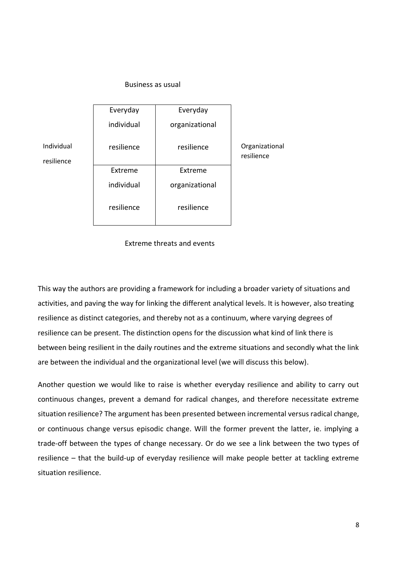#### Business as usual



#### Extreme threats and events

This way the authors are providing a framework for including a broader variety of situations and activities, and paving the way for linking the different analytical levels. It is however, also treating resilience as distinct categories, and thereby not as a continuum, where varying degrees of resilience can be present. The distinction opens for the discussion what kind of link there is between being resilient in the daily routines and the extreme situations and secondly what the link are between the individual and the organizational level (we will discuss this below).

Another question we would like to raise is whether everyday resilience and ability to carry out continuous changes, prevent a demand for radical changes, and therefore necessitate extreme situation resilience? The argument has been presented between incremental versus radical change, or continuous change versus episodic change. Will the former prevent the latter, ie. implying a trade-off between the types of change necessary. Or do we see a link between the two types of resilience – that the build-up of everyday resilience will make people better at tackling extreme situation resilience.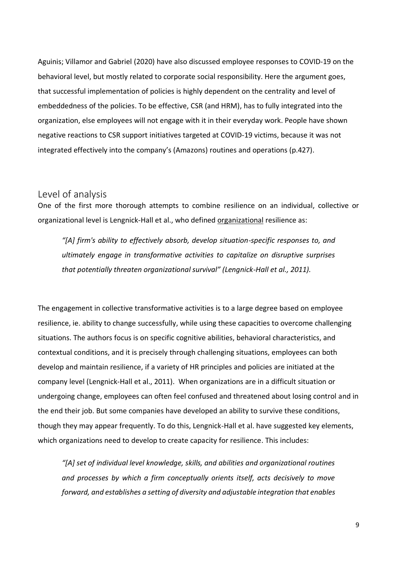Aguinis; Villamor and Gabriel (2020) have also discussed employee responses to COVID-19 on the behavioral level, but mostly related to corporate social responsibility. Here the argument goes, that successful implementation of policies is highly dependent on the centrality and level of embeddedness of the policies. To be effective, CSR (and HRM), has to fully integrated into the organization, else employees will not engage with it in their everyday work. People have shown negative reactions to CSR support initiatives targeted at COVID-19 victims, because it was not integrated effectively into the company's (Amazons) routines and operations (p.427).

### Level of analysis

One of the first more thorough attempts to combine resilience on an individual, collective or organizational level is Lengnick-Hall et al., who defined organizational resilience as:

*"[A] firm's ability to effectively absorb, develop situation-specific responses to, and ultimately engage in transformative activities to capitalize on disruptive surprises that potentially threaten organizational survival" (Lengnick-Hall et al., 2011).* 

The engagement in collective transformative activities is to a large degree based on employee resilience, ie. ability to change successfully, while using these capacities to overcome challenging situations. The authors focus is on specific cognitive abilities, behavioral characteristics, and contextual conditions, and it is precisely through challenging situations, employees can both develop and maintain resilience, if a variety of HR principles and policies are initiated at the company level (Lengnick-Hall et al., 2011). When organizations are in a difficult situation or undergoing change, employees can often feel confused and threatened about losing control and in the end their job. But some companies have developed an ability to survive these conditions, though they may appear frequently. To do this, Lengnick-Hall et al. have suggested key elements, which organizations need to develop to create capacity for resilience. This includes:

*"[A] set of individual level knowledge, skills, and abilities and organizational routines and processes by which a firm conceptually orients itself, acts decisively to move forward, and establishes a setting of diversity and adjustable integration that enables*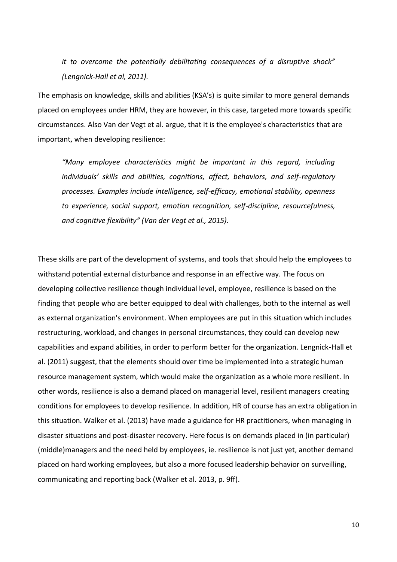*it to overcome the potentially debilitating consequences of a disruptive shock" (Lengnick-Hall et al, 2011).* 

The emphasis on knowledge, skills and abilities (KSA's) is quite similar to more general demands placed on employees under HRM, they are however, in this case, targeted more towards specific circumstances. Also Van der Vegt et al. argue, that it is the employee's characteristics that are important, when developing resilience:

*"Many employee characteristics might be important in this regard, including individuals' skills and abilities, cognitions, affect, behaviors, and self-regulatory processes. Examples include intelligence, self-efficacy, emotional stability, openness to experience, social support, emotion recognition, self-discipline, resourcefulness, and cognitive flexibility" (Van der Vegt et al., 2015).*

These skills are part of the development of systems, and tools that should help the employees to withstand potential external disturbance and response in an effective way. The focus on developing collective resilience though individual level, employee, resilience is based on the finding that people who are better equipped to deal with challenges, both to the internal as well as external organization's environment. When employees are put in this situation which includes restructuring, workload, and changes in personal circumstances, they could can develop new capabilities and expand abilities, in order to perform better for the organization. Lengnick-Hall et al. (2011) suggest, that the elements should over time be implemented into a strategic human resource management system, which would make the organization as a whole more resilient. In other words, resilience is also a demand placed on managerial level, resilient managers creating conditions for employees to develop resilience. In addition, HR of course has an extra obligation in this situation. Walker et al. (2013) have made a guidance for HR practitioners, when managing in disaster situations and post-disaster recovery. Here focus is on demands placed in (in particular) (middle)managers and the need held by employees, ie. resilience is not just yet, another demand placed on hard working employees, but also a more focused leadership behavior on surveilling, communicating and reporting back (Walker et al. 2013, p. 9ff).

10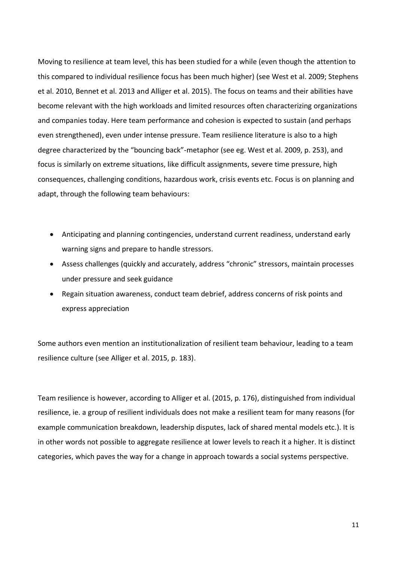Moving to resilience at team level, this has been studied for a while (even though the attention to this compared to individual resilience focus has been much higher) (see West et al. 2009; Stephens et al. 2010, Bennet et al. 2013 and Alliger et al. 2015). The focus on teams and their abilities have become relevant with the high workloads and limited resources often characterizing organizations and companies today. Here team performance and cohesion is expected to sustain (and perhaps even strengthened), even under intense pressure. Team resilience literature is also to a high degree characterized by the "bouncing back"-metaphor (see eg. West et al. 2009, p. 253), and focus is similarly on extreme situations, like difficult assignments, severe time pressure, high consequences, challenging conditions, hazardous work, crisis events etc. Focus is on planning and adapt, through the following team behaviours:

- Anticipating and planning contingencies, understand current readiness, understand early warning signs and prepare to handle stressors.
- Assess challenges (quickly and accurately, address "chronic" stressors, maintain processes under pressure and seek guidance
- Regain situation awareness, conduct team debrief, address concerns of risk points and express appreciation

Some authors even mention an institutionalization of resilient team behaviour, leading to a team resilience culture (see Alliger et al. 2015, p. 183).

Team resilience is however, according to Alliger et al. (2015, p. 176), distinguished from individual resilience, ie. a group of resilient individuals does not make a resilient team for many reasons (for example communication breakdown, leadership disputes, lack of shared mental models etc.). It is in other words not possible to aggregate resilience at lower levels to reach it a higher. It is distinct categories, which paves the way for a change in approach towards a social systems perspective.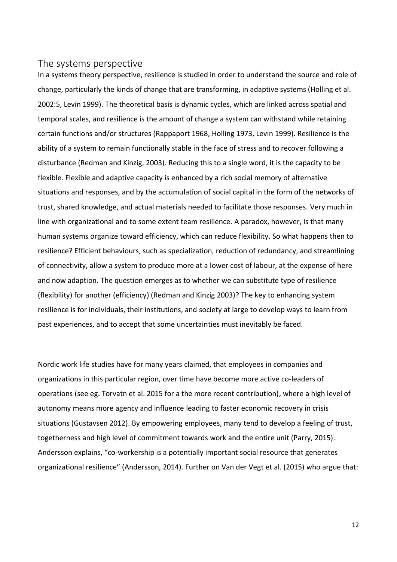### The systems perspective

In a systems theory perspective, resilience is studied in order to understand the source and role of change, particularly the kinds of change that are transforming, in adaptive systems (Holling et al. 2002:5, Levin 1999). The theoretical basis is dynamic cycles, which are linked across spatial and temporal scales, and resilience is the amount of change a system can withstand while retaining certain functions and/or structures (Rappaport 1968, Holling 1973, Levin 1999). Resilience is the ability of a system to remain functionally stable in the face of stress and to recover following a disturbance (Redman and Kinzig, 2003). Reducing this to a single word, it is the capacity to be flexible. Flexible and adaptive capacity is enhanced by a rich social memory of alternative situations and responses, and by the accumulation of social capital in the form of the networks of trust, shared knowledge, and actual materials needed to facilitate those responses. Very much in line with organizational and to some extent team resilience. A paradox, however, is that many human systems organize toward efficiency, which can reduce flexibility. So what happens then to resilience? Efficient behaviours, such as specialization, reduction of redundancy, and streamlining of connectivity, allow a system to produce more at a lower cost of labour, at the expense of here and now adaption. The question emerges as to whether we can substitute type of resilience (flexibility) for another (efficiency) (Redman and Kinzig 2003)? The key to enhancing system resilience is for individuals, their institutions, and society at large to develop ways to learn from past experiences, and to accept that some uncertainties must inevitably be faced.

Nordic work life studies have for many years claimed, that employees in companies and organizations in this particular region, over time have become more active co-leaders of operations (see eg. Torvatn et al. 2015 for a the more recent contribution), where a high level of autonomy means more agency and influence leading to faster economic recovery in crisis situations (Gustavsen 2012). By empowering employees, many tend to develop a feeling of trust, togetherness and high level of commitment towards work and the entire unit (Parry, 2015). Andersson explains, "co-workership is a potentially important social resource that generates organizational resilience" (Andersson, 2014). Further on Van der Vegt et al. (2015) who argue that: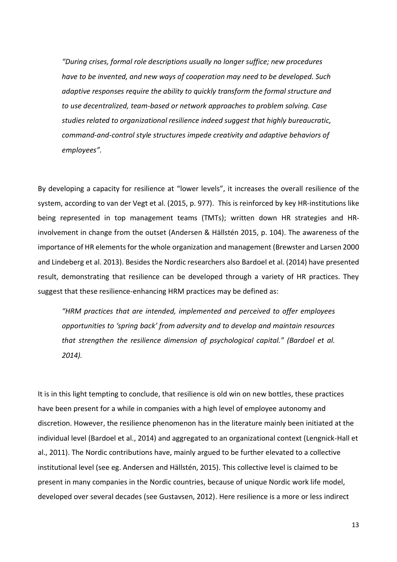*"During crises, formal role descriptions usually no longer suffice; new procedures have to be invented, and new ways of cooperation may need to be developed. Such adaptive responses require the ability to quickly transform the formal structure and to use decentralized, team-based or network approaches to problem solving. Case studies related to organizational resilience indeed suggest that highly bureaucratic, command-and-control style structures impede creativity and adaptive behaviors of employees".*

By developing a capacity for resilience at "lower levels", it increases the overall resilience of the system, according to van der Vegt et al. (2015, p. 977). This is reinforced by key HR-institutions like being represented in top management teams (TMTs); written down HR strategies and HRinvolvement in change from the outset (Andersen & Hällstén 2015, p. 104). The awareness of the importance of HR elements for the whole organization and management (Brewster and Larsen 2000 and Lindeberg et al. 2013). Besides the Nordic researchers also Bardoel et al. (2014) have presented result, demonstrating that resilience can be developed through a variety of HR practices. They suggest that these resilience-enhancing HRM practices may be defined as:

*"HRM practices that are intended, implemented and perceived to offer employees opportunities to 'spring back' from adversity and to develop and maintain resources that strengthen the resilience dimension of psychological capital." (Bardoel et al. 2014).* 

It is in this light tempting to conclude, that resilience is old win on new bottles, these practices have been present for a while in companies with a high level of employee autonomy and discretion. However, the resilience phenomenon has in the literature mainly been initiated at the individual level (Bardoel et al., 2014) and aggregated to an organizational context (Lengnick-Hall et al., 2011). The Nordic contributions have, mainly argued to be further elevated to a collective institutional level (see eg. Andersen and Hällstén, 2015). This collective level is claimed to be present in many companies in the Nordic countries, because of unique Nordic work life model, developed over several decades (see Gustavsen, 2012). Here resilience is a more or less indirect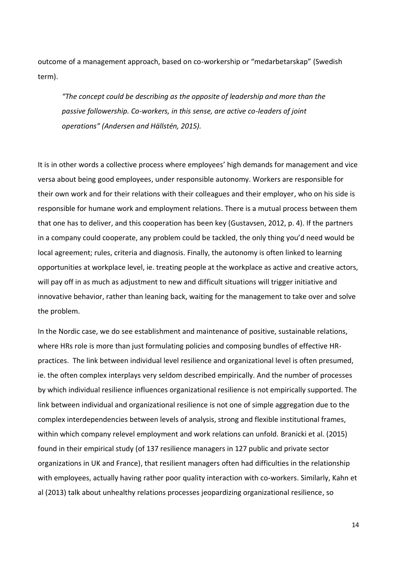outcome of a management approach, based on co-workership or "medarbetarskap" (Swedish term).

*"The concept could be describing as the opposite of leadership and more than the passive followership. Co-workers, in this sense, are active co-leaders of joint operations" (Andersen and Hällstén, 2015).* 

It is in other words a collective process where employees' high demands for management and vice versa about being good employees, under responsible autonomy. Workers are responsible for their own work and for their relations with their colleagues and their employer, who on his side is responsible for humane work and employment relations. There is a mutual process between them that one has to deliver, and this cooperation has been key (Gustavsen, 2012, p. 4). If the partners in a company could cooperate, any problem could be tackled, the only thing you'd need would be local agreement; rules, criteria and diagnosis. Finally, the autonomy is often linked to learning opportunities at workplace level, ie. treating people at the workplace as active and creative actors, will pay off in as much as adjustment to new and difficult situations will trigger initiative and innovative behavior, rather than leaning back, waiting for the management to take over and solve the problem.

In the Nordic case, we do see establishment and maintenance of positive, sustainable relations, where HRs role is more than just formulating policies and composing bundles of effective HRpractices. The link between individual level resilience and organizational level is often presumed, ie. the often complex interplays very seldom described empirically. And the number of processes by which individual resilience influences organizational resilience is not empirically supported. The link between individual and organizational resilience is not one of simple aggregation due to the complex interdependencies between levels of analysis, strong and flexible institutional frames, within which company relevel employment and work relations can unfold. Branicki et al. (2015) found in their empirical study (of 137 resilience managers in 127 public and private sector organizations in UK and France), that resilient managers often had difficulties in the relationship with employees, actually having rather poor quality interaction with co-workers. Similarly, Kahn et al (2013) talk about unhealthy relations processes jeopardizing organizational resilience, so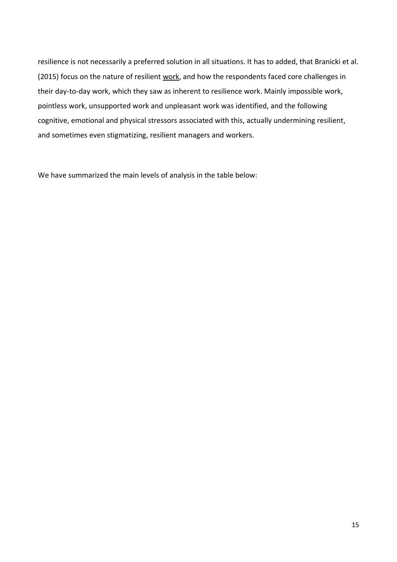resilience is not necessarily a preferred solution in all situations. It has to added, that Branicki et al. (2015) focus on the nature of resilient work, and how the respondents faced core challenges in their day-to-day work, which they saw as inherent to resilience work. Mainly impossible work, pointless work, unsupported work and unpleasant work was identified, and the following cognitive, emotional and physical stressors associated with this, actually undermining resilient, and sometimes even stigmatizing, resilient managers and workers.

We have summarized the main levels of analysis in the table below: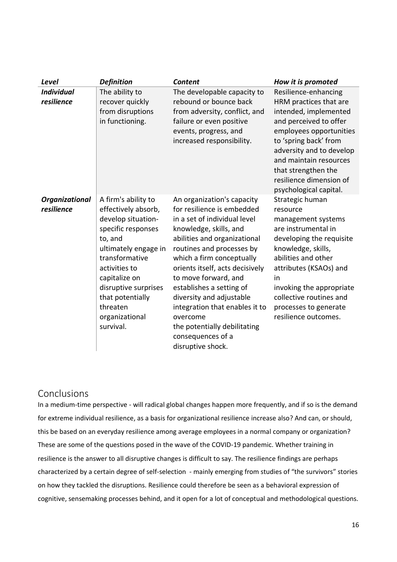| Level                           | <b>Definition</b>                                                                                                                                                                                                                                                    | <b>Content</b>                                                                                                                                                                                                                                                                                                                                                                                                                                          | How it is promoted                                                                                                                                                                                                                                                                        |
|---------------------------------|----------------------------------------------------------------------------------------------------------------------------------------------------------------------------------------------------------------------------------------------------------------------|---------------------------------------------------------------------------------------------------------------------------------------------------------------------------------------------------------------------------------------------------------------------------------------------------------------------------------------------------------------------------------------------------------------------------------------------------------|-------------------------------------------------------------------------------------------------------------------------------------------------------------------------------------------------------------------------------------------------------------------------------------------|
| <b>Individual</b><br>resilience | The ability to<br>recover quickly<br>from disruptions<br>in functioning.                                                                                                                                                                                             | The developable capacity to<br>rebound or bounce back<br>from adversity, conflict, and<br>failure or even positive<br>events, progress, and<br>increased responsibility.                                                                                                                                                                                                                                                                                | Resilience-enhancing<br>HRM practices that are<br>intended, implemented<br>and perceived to offer<br>employees opportunities<br>to 'spring back' from<br>adversity and to develop<br>and maintain resources<br>that strengthen the<br>resilience dimension of<br>psychological capital.   |
| Organizational<br>resilience    | A firm's ability to<br>effectively absorb,<br>develop situation-<br>specific responses<br>to, and<br>ultimately engage in<br>transformative<br>activities to<br>capitalize on<br>disruptive surprises<br>that potentially<br>threaten<br>organizational<br>survival. | An organization's capacity<br>for resilience is embedded<br>in a set of individual level<br>knowledge, skills, and<br>abilities and organizational<br>routines and processes by<br>which a firm conceptually<br>orients itself, acts decisively<br>to move forward, and<br>establishes a setting of<br>diversity and adjustable<br>integration that enables it to<br>overcome<br>the potentially debilitating<br>consequences of a<br>disruptive shock. | Strategic human<br>resource<br>management systems<br>are instrumental in<br>developing the requisite<br>knowledge, skills,<br>abilities and other<br>attributes (KSAOs) and<br>in<br>invoking the appropriate<br>collective routines and<br>processes to generate<br>resilience outcomes. |

## Conclusions

In a medium-time perspective - will radical global changes happen more frequently, and if so is the demand for extreme individual resilience, as a basis for organizational resilience increase also? And can, or should, this be based on an everyday resilience among average employees in a normal company or organization? These are some of the questions posed in the wave of the COVID-19 pandemic. Whether training in resilience is the answer to all disruptive changes is difficult to say. The resilience findings are perhaps characterized by a certain degree of self-selection - mainly emerging from studies of "the survivors" stories on how they tackled the disruptions. Resilience could therefore be seen as a behavioral expression of cognitive, sensemaking processes behind, and it open for a lot of conceptual and methodological questions.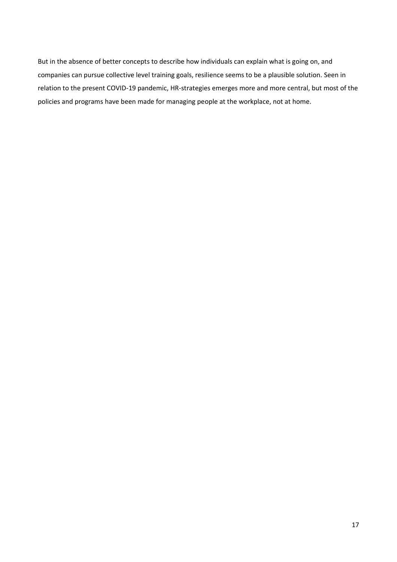But in the absence of better concepts to describe how individuals can explain what is going on, and companies can pursue collective level training goals, resilience seems to be a plausible solution. Seen in relation to the present COVID-19 pandemic, HR-strategies emerges more and more central, but most of the policies and programs have been made for managing people at the workplace, not at home.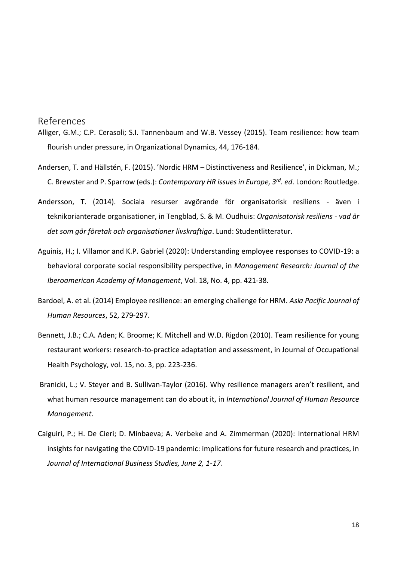References

- Alliger, G.M.; C.P. Cerasoli; S.I. Tannenbaum and W.B. Vessey (2015). Team resilience: how team flourish under pressure, in Organizational Dynamics, 44, 176-184.
- Andersen, T. and Hällstén, F. (2015). 'Nordic HRM Distinctiveness and Resilience', in Dickman, M.; C. Brewster and P. Sparrow (eds.): *Contemporary HR issues in Europe, 3rd. ed*. London: Routledge.
- Andersson, T. (2014). Sociala resurser avgörande för organisatorisk resiliens även i teknikorianterade organisationer, in Tengblad, S. & M. Oudhuis: *Organisatorisk resiliens - vad är det som gör företak och organisationer livskraftiga*. Lund: Studentlitteratur.
- Aguinis, H.; I. Villamor and K.P. Gabriel (2020): Understanding employee responses to COVID-19: a behavioral corporate social responsibility perspective, in *Management Research: Journal of the Iberoamerican Academy of Management*, Vol. 18, No. 4, pp. 421-38.
- Bardoel, A. et al. (2014) Employee resilience: an emerging challenge for HRM. *Asia Pacific Journal of Human Resources*, 52, 279-297.
- Bennett, J.B.; C.A. Aden; K. Broome; K. Mitchell and W.D. Rigdon (2010). Team resilience for young restaurant workers: research-to-practice adaptation and assessment, in Journal of Occupational Health Psychology, vol. 15, no. 3, pp. 223-236.
- Branicki, L.; V. Steyer and B. Sullivan-Taylor (2016). Why resilience managers aren't resilient, and what human resource management can do about it, in *International Journal of Human Resource Management*.
- Caiguiri, P.; H. De Cieri; D. Minbaeva; A. Verbeke and A. Zimmerman (2020): International HRM insights for navigating the COVID-19 pandemic: implications for future research and practices, in *Journal of International Business Studies, June 2, 1-17.*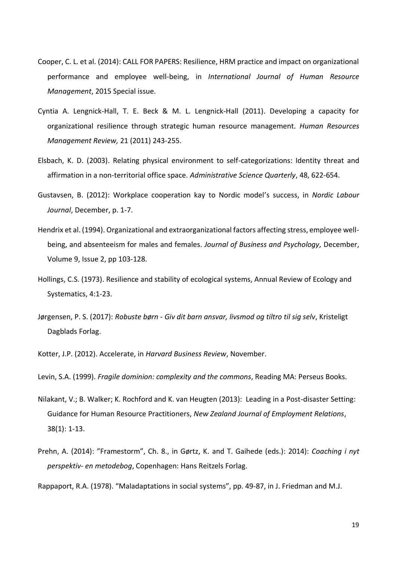- Cooper, C. L. et al. (2014): CALL FOR PAPERS: Resilience, HRM practice and impact on organizational performance and employee well-being, in *International Journal of Human Resource Management*, 2015 Special issue.
- Cyntia A. Lengnick-Hall, T. E. Beck & M. L. Lengnick-Hall (2011). Developing a capacity for organizational resilience through strategic human resource management. *Human Resources Management Review,* 21 (2011) 243-255.
- Elsbach, K. D. (2003). Relating physical environment to self-categorizations: Identity threat and affirmation in a non-territorial office space. *Administrative Science Quarterly*, 48, 622-654.
- Gustavsen, B. (2012): Workplace cooperation kay to Nordic model's success, in *Nordic Labour Journal*, December, p. 1-7.
- Hendrix et al. (1994). Organizational and extraorganizational factors affecting stress, employee wellbeing, and absenteeism for males and females. *Journal of Business and Psychology,* December, Volume 9, [Issue 2,](http://link.springer.com/journal/10869/9/2/page/1) pp 103-128.
- Hollings, C.S. (1973). Resilience and stability of ecological systems, Annual Review of Ecology and Systematics, 4:1-23.
- Jørgensen, P. S. (2017): *Robuste børn - Giv dit barn ansvar, livsmod og tiltro til sig selv*, Kristeligt Dagblads Forlag.

Kotter, J.P. (2012). Accelerate, in *Harvard Business Review*, November.

Levin, S.A. (1999). *Fragile dominion: complexity and the commons*, Reading MA: Perseus Books.

- Nilakant, V.; B. Walker; K. Rochford and K. van Heugten (2013): Leading in a Post-disaster Setting: Guidance for Human Resource Practitioners, *New Zealand Journal of Employment Relations*, 38(1): 1-13.
- Prehn, A. (2014): "Framestorm", Ch. 8., in Gørtz, K. and T. Gaihede (eds.): 2014): *Coaching i nyt perspektiv- en metodebog*, Copenhagen: Hans Reitzels Forlag.

Rappaport, R.A. (1978). "Maladaptations in social systems", pp. 49-87, in J. Friedman and M.J.